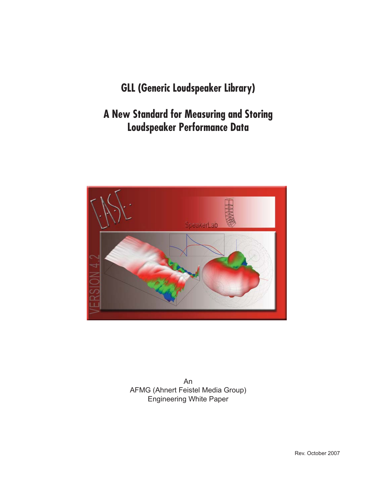# **GLL (Generic Loudspeaker Library)**

# **A New Standard for Measuring and Storing Loudspeaker Performance Data**



An AFMG (Ahnert Feistel Media Group) Engineering White Paper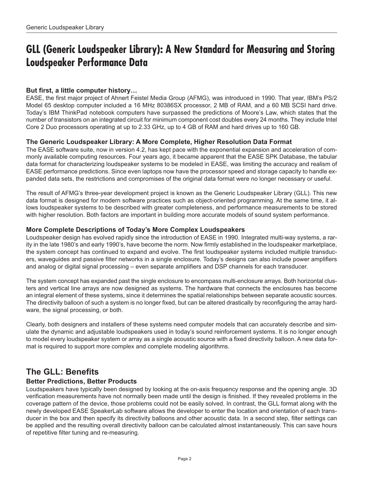# **GLL (Generic Loudspeaker Library): A New Standard for Measuring and Storing Loudspeaker Performance Data**

# **But first, a little computer history…**

EASE, the first major project of Ahnert Feistel Media Group (AFMG), was introduced in 1990. That year, IBM's PS/2 Model 65 desktop computer included a 16 MHz 80386SX processor, 2 MB of RAM, and a 60 MB SCSI hard drive. Today's IBM ThinkPad notebook computers have surpassed the predictions of Moore's Law, which states that the number of transistors on an integrated circuit for minimum component cost doubles every 24 months. They include Intel Core 2 Duo processors operating at up to 2.33 GHz, up to 4 GB of RAM and hard drives up to 160 GB.

# **The Generic Loudspeaker Library: A More Complete, Higher Resolution Data Format**

The EASE software suite, now in version 4.2, has kept pace with the exponential expansion and acceleration of commonly available computing resources. Four years ago, it became apparent that the EASE SPK Database, the tabular data format for characterizing loudspeaker systems to be modeled in EASE, was limiting the accuracy and realism of EASE performance predictions. Since even laptops now have the processor speed and storage capacity to handle expanded data sets, the restrictions and compromises of the original data format were no longer necessary or useful.

The result of AFMG's three-year development project is known as the Generic Loudspeaker Library (GLL). This new data format is designed for modern software practices such as object-oriented programming. At the same time, it allows loudspeaker systems to be described with greater completeness, and performance measurements to be stored with higher resolution. Both factors are important in building more accurate models of sound system performance.

# **More Complete Descriptions of Today's More Complex Loudspeakers**

Loudspeaker design has evolved rapidly since the introduction of EASE in 1990. Integrated multi-way systems, a rarity in the late 1980's and early 1990's, have become the norm. Now firmly established in the loudspeaker marketplace, the system concept has continued to expand and evolve. The first loudspeaker systems included multiple transducers, waveguides and passive filter networks in a single enclosure. Today's designs can also include power amplifiers and analog or digital signal processing – even separate amplifiers and DSP channels for each transducer.

The system concept has expanded past the single enclosure to encompass multi-enclosure arrays. Both horizontal clusters and vertical line arrays are now designed as systems. The hardware that connects the enclosures has become an integral element of these systems, since it determines the spatial relationships between separate acoustic sources. The directivity balloon of such a system is no longer fixed, but can be altered drastically by reconfiguring the array hardware, the signal processing, or both.

Clearly, both designers and installers of these systems need computer models that can accurately describe and simulate the dynamic and adjustable loudspeakers used in today's sound reinforcement systems. It is no longer enough to model every loudspeaker system or array as a single acoustic source with a fixed directivity balloon. A new data format is required to support more complex and complete modeling algorithms.

# **The GLL: Benefits**

# **Better Predictions, Better Products**

Loudspeakers have typically been designed by looking at the on-axis frequency response and the opening angle. 3D verification measurements have not normally been made until the design is finished. If they revealed problems in the coverage pattern of the device, those problems could not be easily solved. In contrast, the GLL format along with the newly developed EASE SpeakerLab software allows the developer to enter the location and orientation of each transducer in the box and then specify its directivity balloons and other acoustic data. In a second step, filter settings can be applied and the resulting overall directivity balloon can be calculated almost instantaneously. This can save hours of repetitive filter tuning and re-measuring.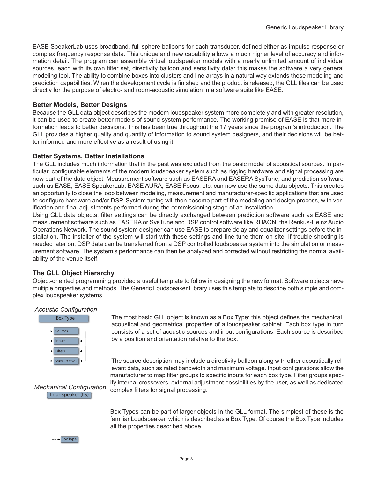EASE SpeakerLab uses broadband, full-sphere balloons for each transducer, defined either as impulse response or complex frequency response data. This unique and new capability allows a much higher level of accuracy and information detail. The program can assemble virtual loudspeaker models with a nearly unlimited amount of individual sources, each with its own filter set, directivity balloon and sensitivity data: this makes the software a very general modeling tool. The ability to combine boxes into clusters and line arrays in a natural way extends these modeling and prediction capabilities. When the development cycle is finished and the product is released, the GLL files can be used directly for the purpose of electro- and room-acoustic simulation in a software suite like EASE.

# **Better Models, Better Designs**

Because the GLL data object describes the modern loudspeaker system more completely and with greater resolution, it can be used to create better models of sound system performance. The working premise of EASE is that more information leads to better decisions. This has been true throughout the 17 years since the program's introduction. The GLL provides a higher quality and quantity of information to sound system designers, and their decisions will be better informed and more effective as a result of using it.

# **Better Systems, Better Installations**

The GLL includes much information that in the past was excluded from the basic model of acoustical sources. In particular, configurable elements of the modern loudspeaker system such as rigging hardware and signal processing are now part of the data object. Measurement software such as EASERA and EASERA SysTune, and prediction software such as EASE, EASE SpeakerLab, EASE AURA, EASE Focus, etc. can now use the same data objects. This creates an opportunity to close the loop between modeling, measurement and manufacturer-specific applications that are used to configure hardware and/or DSP. System tuning will then become part of the modeling and design process, with verification and final adjustments performed during the commissioning stage of an installation.

Using GLL data objects, filter settings can be directly exchanged between prediction software such as EASE and measurement software such as EASERA or SysTune and DSP control software like RHAON, the Renkus-Heinz Audio Operations Network. The sound system designer can use EASE to prepare delay and equalizer settings before the installation. The installer of the system will start with these settings and fine-tune them on site. If trouble-shooting is needed later on, DSP data can be transferred from a DSP controlled loudspeaker system into the simulation or measurement software. The system's performance can then be analyzed and corrected without restricting the normal availability of the venue itself.

# **The GLL Object Hierarchy**

Object-oriented programming provided a useful template to follow in designing the new format. Software objects have multiple properties and methods. The Generic Loudspeaker Library uses this template to describe both simple and complex loudspeaker systems.



The most basic GLL object is known as a Box Type: this object defines the mechanical, acoustical and geometrical properties of a loudspeaker cabinet. Each box type in turn consists of a set of acoustic sources and input configurations. Each source is described by a position and orientation relative to the box.

The source description may include a directivity balloon along with other acoustically relevant data, such as rated bandwidth and maximum voltage. Input configurations allow the manufacturer to map filter groups to specific inputs for each box type. Filter groups specify internal crossovers, external adjustment possibilities by the user, as well as dedicated

**Loudspeaker (LS)** 

 $\blacktriangleright$  Box Type

complex filters for signal processing.

Box Types can be part of larger objects in the GLL format. The simplest of these is the familiar Loudspeaker, which is described as a Box Type. Of course the Box Type includes all the properties described above.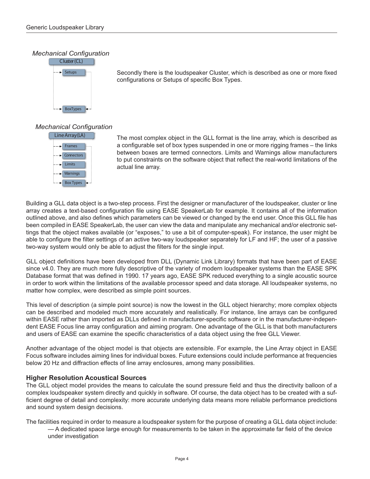

Secondly there is the loudspeaker Cluster, which is described as one or more fixed configurations or Setups of specific Box Types.



The most complex object in the GLL format is the line array, which is described as a configurable set of box types suspended in one or more rigging frames – the links between boxes are termed connectors. Limits and Warnings allow manufacturers to put constraints on the software object that reflect the real-world limitations of the actual line array.

Building a GLL data object is a two-step process. First the designer or manufacturer of the loudspeaker, cluster or line array creates a text-based configuration file using EASE SpeakerLab for example. It contains all of the information outlined above, and also defines which parameters can be viewed or changed by the end user. Once this GLL file has been compiled in EASE SpeakerLab, the user can view the data and manipulate any mechanical and/or electronic settings that the object makes available (or "exposes," to use a bit of computer-speak). For instance, the user might be able to configure the filter settings of an active two-way loudspeaker separately for LF and HF; the user of a passive two-way system would only be able to adjust the filters for the single input.

GLL object definitions have been developed from DLL (Dynamic Link Library) formats that have been part of EASE since v4.0. They are much more fully descriptive of the variety of modern loudspeaker systems than the EASE SPK Database format that was defined in 1990. 17 years ago, EASE SPK reduced everything to a single acoustic source in order to work within the limitations of the available processor speed and data storage. All loudspeaker systems, no matter how complex, were described as simple point sources.

This level of description (a simple point source) is now the lowest in the GLL object hierarchy; more complex objects can be described and modeled much more accurately and realistically. For instance, line arrays can be configured within EASE rather than imported as DLLs defined in manufacturer-specific software or in the manufacturer-independent EASE Focus line array configuration and aiming program. One advantage of the GLL is that both manufacturers and users of EASE can examine the specific characteristics of a data object using the free GLL Viewer.

Another advantage of the object model is that objects are extensible. For example, the Line Array object in EASE Focus software includes aiming lines for individual boxes. Future extensions could include performance at frequencies below 20 Hz and diffraction effects of line array enclosures, among many possibilities.

### **Higher Resolution Acoustical Sources**

The GLL object model provides the means to calculate the sound pressure field and thus the directivity balloon of a complex loudspeaker system directly and quickly in software. Of course, the data object has to be created with a sufficient degree of detail and complexity: more accurate underlying data means more reliable performance predictions and sound system design decisions.

The facilities required in order to measure a loudspeaker system for the purpose of creating a GLL data object include: — A dedicated space large enough for measurements to be taken in the approximate far field of the device under investigation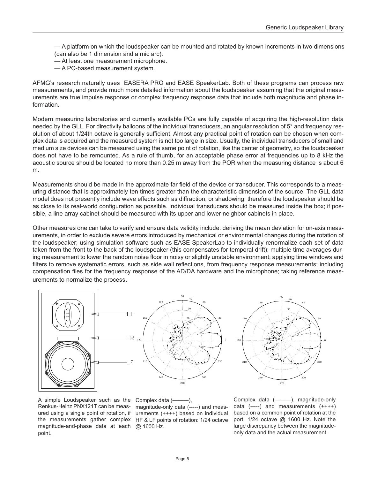— A platform on which the loudspeaker can be mounted and rotated by known increments in two dimensions (can also be 1 dimension and a mic arc).

- At least one measurement microphone.
- A PC-based measurement system.

AFMG's research naturally uses EASERA PRO and EASE SpeakerLab. Both of these programs can process raw measurements, and provide much more detailed information about the loudspeaker assuming that the original measurements are true impulse response or complex frequency response data that include both magnitude and phase information.

Modern measuring laboratories and currently available PCs are fully capable of acquiring the high-resolution data needed by the GLL. For directivity balloons of the individual transducers, an angular resolution of 5° and frequency resolution of about 1/24th octave is generally sufficient. Almost any practical point of rotation can be chosen when complex data is acquired and the measured system is not too large in size. Usually, the individual transducers of small and medium size devices can be measured using the same point of rotation, like the center of geometry, so the loudspeaker does not have to be remounted. As a rule of thumb, for an acceptable phase error at frequencies up to 8 kHz the acoustic source should be located no more than 0.25 m away from the POR when the measuring distance is about 6 m.

Measurements should be made in the approximate far field of the device or transducer. This corresponds to a measuring distance that is approximately ten times greater than the characteristic dimension of the source. The GLL data model does not presently include wave effects such as diffraction, or shadowing: therefore the loudspeaker should be as close to its real-world configuration as possible. Individual transducers should be measured inside the box; if possible, a line array cabinet should be measured with its upper and lower neighbor cabinets in place.

Other measures one can take to verify and ensure data validity include: deriving the mean deviation for on-axis measurements, in order to exclude severe errors introduced by mechanical or environmental changes during the rotation of the loudspeaker; using simulation software such as EASE SpeakerLab to individually renormalize each set of data taken from the front to the back of the loudspeaker (this compensates for temporal drift); multiple time averages during measurement to lower the random noise floor in noisy or slightly unstable environment; applying time windows and filters to remove systematic errors, such as side wall reflections, from frequency response measurements; including compensation files for the frequency response of the AD/DA hardware and the microphone; taking reference measurements to normalize the process.





A simple Loudspeaker such as the Complex data (- --------), Renkus-Heinz PNX121T can be meas-magnitude-only data (-----) and measured using a single point of rotation, if urements (++++) based on individual the measurements gather complex HF & LF points of rotation: 1/24 octave magnitude-and-phase data at each @ 1600 Hz. point.

Complex data (———), magnitude-only data (-----) and measurements (++++) based on a common point of rotation at the port: 1/24 octave @ 1600 Hz. Note the large discrepancy between the magnitudeonly data and the actual measurement.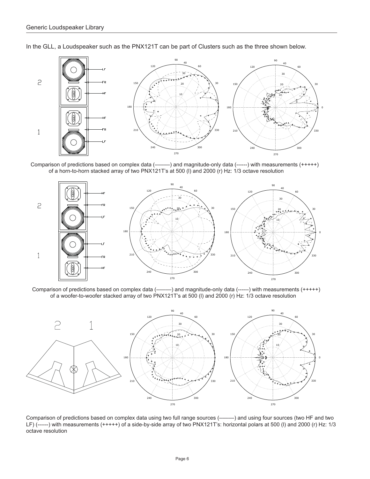

In the GLL, a Loudspeaker such as the PNX121T can be part of Clusters such as the three shown below.

Comparison of predictions based on complex data (–––––) and magnitude-only data (------) with measurements (+++++) of a horn-to-horn stacked array of two PNX121T's at 500 (l) and 2000 (r) Hz: 1/3 octave resolution



Comparison of predictions based on complex data (–––––) and magnitude-only data (------) with measurements (+++++) of a woofer-to-woofer stacked array of two PNX121T's at 500 (l) and 2000 (r) Hz: 1/3 octave resolution



Comparison of predictions based on complex data using two full range sources (–––––) and using four sources (two HF and two LF) (------) with measurements (+++++) of a side-by-side array of two PNX121T's: horizontal polars at 500 (l) and 2000 (r) Hz: 1/3 octave resolution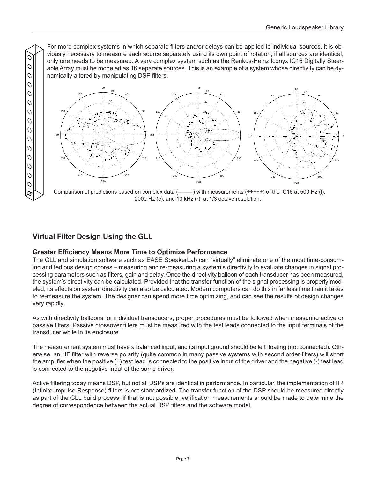For more complex systems in which separate filters and/or delays can be applied to individual sources, it is obviously necessary to measure each source separately using its own point of rotation; if all sources are identical, only one needs to be measured. A very complex system such as the Renkus-Heinz Iconyx IC16 Digitally Steerable Array must be modeled as 16 separate sources. This is an example of a system whose directivity can be dynamically altered by manipulating DSP filters.



Comparison of predictions based on complex data (–––––) with measurements (+++++) of the IC16 at 500 Hz (l), 2000 Hz (c), and 10 kHz (r), at 1/3 octave resolution.

# **Virtual Filter Design Using the GLL**

O O O Q Ó O O Ó O O Q Ó O O Q D

### **Greater Efficiency Means More Time to Optimize Performance**

The GLL and simulation software such as EASE SpeakerLab can "virtually" eliminate one of the most time-consuming and tedious design chores – measuring and re-measuring a system's directivity to evaluate changes in signal processing parameters such as filters, gain and delay. Once the directivity balloon of each transducer has been measured, the system's directivity can be calculated. Provided that the transfer function of the signal processing is properly modeled, its effects on system directivity can also be calculated. Modern computers can do this in far less time than it takes to re-measure the system. The designer can spend more time optimizing, and can see the results of design changes very rapidly.

As with directivity balloons for individual transducers, proper procedures must be followed when measuring active or passive filters. Passive crossover filters must be measured with the test leads connected to the input terminals of the transducer while in its enclosure.

The measurement system must have a balanced input, and its input ground should be left floating (not connected). Otherwise, an HF filter with reverse polarity (quite common in many passive systems with second order filters) will short the amplifier when the positive (+) test lead is connected to the positive input of the driver and the negative (-) test lead is connected to the negative input of the same driver.

Active filtering today means DSP, but not all DSPs are identical in performance. In particular, the implementation of IIR (Infinite Impulse Response) filters is not standardized. The transfer function of the DSP should be measured directly as part of the GLL build process: if that is not possible, verification measurements should be made to determine the degree of correspondence between the actual DSP filters and the software model.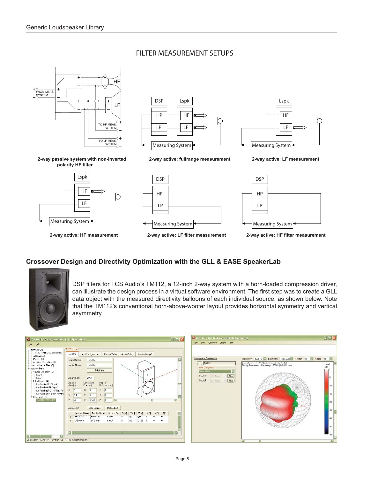# FILTER MEASUREMENT SETUPS



# **Crossover Design and Directivity Optimization with the GLL & EASE SpeakerLab**



DSP filters for TCS Audio's TM112, a 12-inch 2-way system with a horn-loaded compression driver, can illustrate the design process in a virtual software environment. The first step was to create a GLL data object with the measured directivity balloons of each individual source, as shown below. Note that the TM112's conventional horn-above-woofer layout provides horizontal symmetry and vertical asymmetry.

| TCS TM112 (Experimental) - EASE SpeakerLab                                                                                                                                                                                                                                                                                                                                                                                         | $\Box$ o $\times$                                                                                                                                                                                                                                                                                                                                                                                                                                                                                                                                                                                                                                                                                                                                                                                                                                                                             | [C] View GLL: TM112 (Experimental) [Temporary]                                                                                                                         |                                                                                                                                                                                  | Fox                                                                            |
|------------------------------------------------------------------------------------------------------------------------------------------------------------------------------------------------------------------------------------------------------------------------------------------------------------------------------------------------------------------------------------------------------------------------------------|-----------------------------------------------------------------------------------------------------------------------------------------------------------------------------------------------------------------------------------------------------------------------------------------------------------------------------------------------------------------------------------------------------------------------------------------------------------------------------------------------------------------------------------------------------------------------------------------------------------------------------------------------------------------------------------------------------------------------------------------------------------------------------------------------------------------------------------------------------------------------------------------------|------------------------------------------------------------------------------------------------------------------------------------------------------------------------|----------------------------------------------------------------------------------------------------------------------------------------------------------------------------------|--------------------------------------------------------------------------------|
| Eile Help                                                                                                                                                                                                                                                                                                                                                                                                                          |                                                                                                                                                                                                                                                                                                                                                                                                                                                                                                                                                                                                                                                                                                                                                                                                                                                                                               | Ele Vew Calculate Graphs Help                                                                                                                                          |                                                                                                                                                                                  |                                                                                |
| G-General Data<br>TM112 "TM112 (Experimental)"<br>Appearance<br>Presets [0]<br>Additional Data Files (0)<br>Authorization Files (0)<br>Acoustic Data<br>Source Definitions (2)<br>keyHF<br>kevLF<br>Filter Groups (4)<br>keyPassiveLP1 "Input"<br>keyPassiveHP1 "Input"<br>keyPassiveLP-2 'HF Rev Po<br>keyPassiveHP-2 "HF Rev Pc<br>Box Types (1)<br>TMS112 "TMS112"<br>U:\EASERA10Data\TM112\Final\TCS_TM112 (Experimental).xqll | Edit Box Type<br>General<br>Passive2Way<br>Active2Way<br>Passive2Way-2<br>Input Configurations<br><b>TMS112</b><br>Internal Name<br><b>TMS112</b><br>Display Name:<br>Edit Case<br>27,3<br>Weight [kg]:<br>Point of<br>Connecting<br>Center of<br>Mass [m]:<br>Point [m]:<br>Reference [m]<br>X: 0<br>X: 0<br>X: 0<br>Y: 0,1<br>Y: 0<br>Y: 0<br>$\vert \overline{\mathbf{z}} \vert$<br>$Z$ :<br>$\overline{S}$<br>$Z$ :<br>$Z$ :<br>$-0.1$<br>0,332<br> 0 <br>Delete Last<br>Sources: 2<br>Add Source<br>Display Name<br>Source Def<br>Y[m]<br>Z[m]<br>$H[$ <sup>*</sup> ]<br>$V[\ ]$<br>R[']<br>Internal Name<br>$\times$ [m]<br>$\overline{\mathbf{z}}$<br>HF Driver<br>keyHF<br>0,162<br>0,01<br><b>IHFSource</b><br>'n<br>$\overline{0}$<br>n<br>$\theta$<br>keyLF<br>0,01<br>$-0.165 - 0$<br>LFSource<br>LF Driver<br>$\overline{0}$<br>$\mathbf{u}$<br>$\overline{0}$<br>$\overline{2}$ | Loudspeaker Configuration<br>$-$ TMS112<br><b>Input Configuration</b><br><b>Active Mode</b><br>Filer<br><b>Input HF</b><br>(NoTiler)<br>Irout LF<br>the Filed<br>Filed | 1900 Hz Bandwidth: 1/3rd Oct / Meridian 0" Parallel 0"<br>Frequency<br>[Data Shown TM112 (Experimental) [TCS Audio]<br>Display Parameters: Frequency: 1900Hz (1/3rd Octave)<br>圖 | Level<br>[dB]<br>$-10$<br>$-15$<br>$-20$<br>$\mathfrak{B}$<br>$-30$<br>35<br>m |
|                                                                                                                                                                                                                                                                                                                                                                                                                                    |                                                                                                                                                                                                                                                                                                                                                                                                                                                                                                                                                                                                                                                                                                                                                                                                                                                                                               |                                                                                                                                                                        |                                                                                                                                                                                  |                                                                                |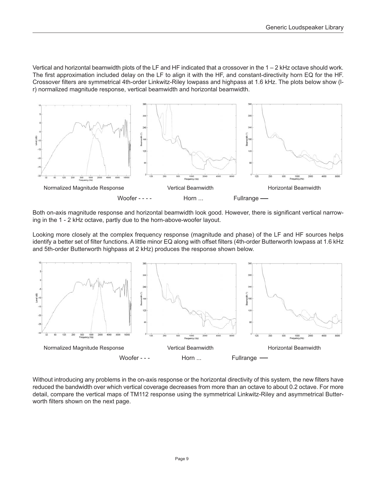Vertical and horizontal beamwidth plots of the LF and HF indicated that a crossover in the  $1 - 2$  kHz octave should work. The first approximation included delay on the LF to align it with the HF, and constant-directivity horn EQ for the HF. Crossover filters are symmetrical 4th-order Linkwitz-Riley lowpass and highpass at 1.6 kHz. The plots below show (lr) normalized magnitude response, vertical beamwidth and horizontal beamwidth.



Both on-axis magnitude response and horizontal beamwidth look good. However, there is significant vertical narrowing in the 1 - 2 kHz octave, partly due to the horn-above-woofer layout.

Looking more closely at the complex frequency response (magnitude and phase) of the LF and HF sources helps identify a better set of filter functions. A little minor EQ along with offset filters (4th-order Butterworth lowpass at 1.6 kHz and 5th-order Butterworth highpass at 2 kHz) produces the response shown below.



Without introducing any problems in the on-axis response or the horizontal directivity of this system, the new filters have reduced the bandwidth over which vertical coverage decreases from more than an octave to about 0.2 octave. For more detail, compare the vertical maps of TM112 response using the symmetrical Linkwitz-Riley and asymmetrical Butterworth filters shown on the next page.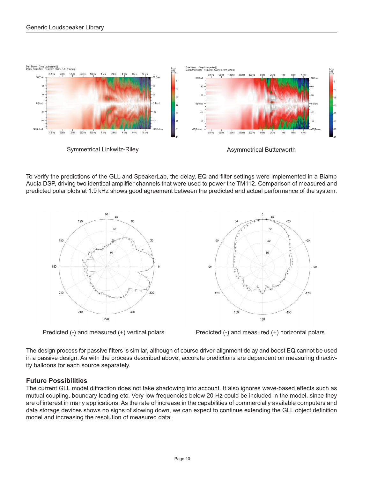

To verify the predictions of the GLL and SpeakerLab, the delay, EQ and filter settings were implemented in a Biamp Audia DSP, driving two identical amplifier channels that were used to power the TM112. Comparison of measured and predicted polar plots at 1.9 kHz shows good agreement between the predicted and actual performance of the system.





Predicted (-) and measured (+) vertical polars Predicted (-) and measured (+) horizontal polars

The design process for passive filters is similar, although of course driver-alignment delay and boost EQ cannot be used in a passive design. As with the process described above, accurate predictions are dependent on measuring directivity balloons for each source separately.

# **Future Possibilities**

The current GLL model diffraction does not take shadowing into account. It also ignores wave-based effects such as mutual coupling, boundary loading etc. Very low frequencies below 20 Hz could be included in the model, since they are of interest in many applications. As the rate of increase in the capabilities of commercially available computers and data storage devices shows no signs of slowing down, we can expect to continue extending the GLL object definition model and increasing the resolution of measured data.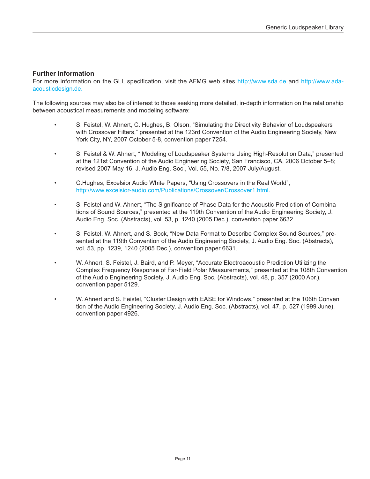# **Further Information**

For more information on the GLL specification, visit the AFMG web sites http://www.sda.de and http://www.adaacousticdesign.de.

The following sources may also be of interest to those seeking more detailed, in-depth information on the relationship between acoustical measurements and modeling software:

- S. Feistel, W. Ahnert, C. Hughes, B. Olson, "Simulating the Directivity Behavior of Loudspeakers with Crossover Filters," presented at the 123rd Convention of the Audio Engineering Society, New York City, NY, 2007 October 5-8, convention paper 7254.
- S. Feistel & W. Ahnert, " Modeling of Loudspeaker Systems Using High-Resolution Data," presented at the 121st Convention of the Audio Engineering Society, San Francisco, CA, 2006 October 5–8; revised 2007 May 16, J. Audio Eng. Soc., Vol. 55, No. 7/8, 2007 July/August.
- C.Hughes, Excelsior Audio White Papers, "Using Crossovers in the Real World", http://www.excelsior-audio.com/Publications/Crossover/Crossover1.html.
- S. Feistel and W. Ahnert, "The Significance of Phase Data for the Acoustic Predic tion of Combina tions of Sound Sources," presented at the 119th Convention of the Audio Engineering Society, J. Audio Eng. Soc. (Abstracts), vol. 53, p. 1240 (2005 Dec.), convention paper 6632.
- S. Feistel, W. Ahnert, and S. Bock, "New Data Format to Describe Complex Sound Sources," presented at the 119th Convention of the Audio Engineering Society, J. Audio Eng. Soc. (Abstracts), vol. 53, pp. 1239, 1240 (2005 Dec.), convention paper 6631.
- W. Ahnert, S. Feistel, J. Baird, and P. Meyer, "Accurate Electroacoustic Prediction Utilizing the Complex Frequency Response of Far-Field Polar Measurements," presented at the 108th Convention of the Audio Engineering Society, J. Audio Eng. Soc. (Abstracts), vol. 48, p. 357 (2000 Apr.), convention paper 5129.
- W. Ahnert and S. Feistel, "Cluster Design with EASE for Windows," presented at the 106th Conven tion of the Audio Engineering Society, J. Audio Eng. Soc. (Abstracts), vol. 47, p. 527 (1999 June), convention paper 4926.